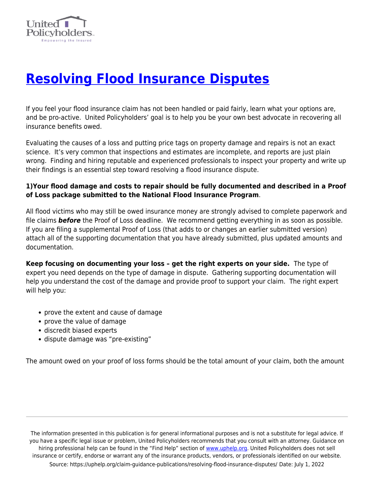

# **[Resolving Flood Insurance Disputes](https://uphelp.org/claim-guidance-publications/resolving-flood-insurance-disputes/)**

If you feel your flood insurance claim has not been handled or paid fairly, learn what your options are, and be pro-active. United Policyholders' goal is to help you be your own best advocate in recovering all insurance benefits owed.

Evaluating the causes of a loss and putting price tags on property damage and repairs is not an exact science. It's very common that inspections and estimates are incomplete, and reports are just plain wrong. Finding and hiring reputable and experienced professionals to inspect your property and write up their findings is an essential step toward resolving a flood insurance dispute.

# **1)Your flood damage and costs to repair should be fully documented and described in a Proof of Loss package submitted to the National Flood Insurance Program**.

All flood victims who may still be owed insurance money are strongly advised to complete paperwork and file claims *before* the Proof of Loss deadline. We recommend getting everything in as soon as possible. If you are filing a supplemental Proof of Loss (that adds to or changes an earlier submitted version) attach all of the supporting documentation that you have already submitted, plus updated amounts and documentation.

**Keep focusing on documenting your loss – get the right experts on your side.** The type of expert you need depends on the type of damage in dispute. Gathering supporting documentation will help you understand the cost of the damage and provide proof to support your claim. The right expert will help you:

- prove the extent and cause of damage
- prove the value of damage
- discredit biased experts
- dispute damage was "pre-existing"

The amount owed on your proof of loss forms should be the total amount of your claim, both the amount

The information presented in this publication is for general informational purposes and is not a substitute for legal advice. If you have a specific legal issue or problem, United Policyholders recommends that you consult with an attorney. Guidance on hiring professional help can be found in the "Find Help" section of [www.uphelp.org.](http://www.uphelp.org/) United Policyholders does not sell insurance or certify, endorse or warrant any of the insurance products, vendors, or professionals identified on our website. Source: https://uphelp.org/claim-guidance-publications/resolving-flood-insurance-disputes/ Date: July 1, 2022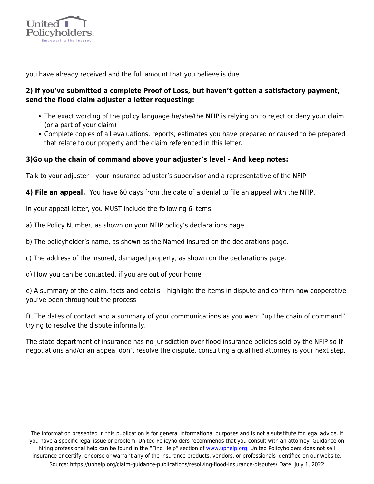

you have already received and the full amount that you believe is due.

# **2) If you've submitted a complete Proof of Loss, but haven't gotten a satisfactory payment, send the flood claim adjuster a letter requesting:**

- The exact wording of the policy language he/she/the NFIP is relying on to reject or deny your claim (or a part of your claim)
- Complete copies of all evaluations, reports, estimates you have prepared or caused to be prepared that relate to our property and the claim referenced in this letter.

### **3)Go up the chain of command above your adjuster's level – And keep notes:**

Talk to your adjuster – your insurance adjuster's supervisor and a representative of the NFIP.

**4) File an appeal.** You have 60 days from the date of a denial to file an appeal with the NFIP.

In your appeal letter, you MUST include the following 6 items:

a) The Policy Number, as shown on your NFIP policy's declarations page.

b) The policyholder's name, as shown as the Named Insured on the declarations page.

c) The address of the insured, damaged property, as shown on the declarations page.

d) How you can be contacted, if you are out of your home.

e) A summary of the claim, facts and details – highlight the items in dispute and confirm how cooperative you've been throughout the process.

f) The dates of contact and a summary of your communications as you went "up the chain of command" trying to resolve the dispute informally.

The state department of insurance has no jurisdiction over flood insurance policies sold by the NFIP so **i**f negotiations and/or an appeal don't resolve the dispute, consulting a qualified attorney is your next step.

The information presented in this publication is for general informational purposes and is not a substitute for legal advice. If you have a specific legal issue or problem, United Policyholders recommends that you consult with an attorney. Guidance on hiring professional help can be found in the "Find Help" section of [www.uphelp.org.](http://www.uphelp.org/) United Policyholders does not sell insurance or certify, endorse or warrant any of the insurance products, vendors, or professionals identified on our website. Source: https://uphelp.org/claim-guidance-publications/resolving-flood-insurance-disputes/ Date: July 1, 2022